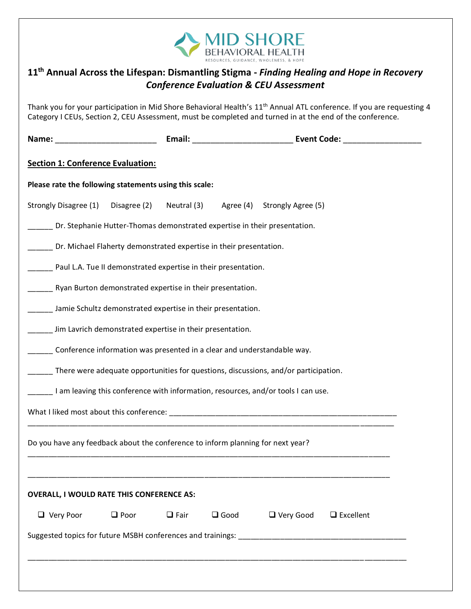

| 11 <sup>th</sup> Annual Across the Lifespan: Dismantling Stigma - Finding Healing and Hope in Recovery                                                                                                                                         |             | <b>Conference Evaluation &amp; CEU Assessment</b> |             |                  |  |                  |  |  |
|------------------------------------------------------------------------------------------------------------------------------------------------------------------------------------------------------------------------------------------------|-------------|---------------------------------------------------|-------------|------------------|--|------------------|--|--|
| Thank you for your participation in Mid Shore Behavioral Health's 11 <sup>th</sup> Annual ATL conference. If you are requesting 4<br>Category I CEUs, Section 2, CEU Assessment, must be completed and turned in at the end of the conference. |             |                                                   |             |                  |  |                  |  |  |
|                                                                                                                                                                                                                                                |             |                                                   |             |                  |  |                  |  |  |
| <b>Section 1: Conference Evaluation:</b>                                                                                                                                                                                                       |             |                                                   |             |                  |  |                  |  |  |
| Please rate the following statements using this scale:                                                                                                                                                                                         |             |                                                   |             |                  |  |                  |  |  |
| Strongly Disagree (1) Disagree (2)                                                                                                                                                                                                             |             | Neutral (3) Agree (4) Strongly Agree (5)          |             |                  |  |                  |  |  |
| Dr. Stephanie Hutter-Thomas demonstrated expertise in their presentation.                                                                                                                                                                      |             |                                                   |             |                  |  |                  |  |  |
| ____ Dr. Michael Flaherty demonstrated expertise in their presentation.                                                                                                                                                                        |             |                                                   |             |                  |  |                  |  |  |
| Paul L.A. Tue II demonstrated expertise in their presentation.                                                                                                                                                                                 |             |                                                   |             |                  |  |                  |  |  |
| Ryan Burton demonstrated expertise in their presentation.                                                                                                                                                                                      |             |                                                   |             |                  |  |                  |  |  |
| ____ Jamie Schultz demonstrated expertise in their presentation.                                                                                                                                                                               |             |                                                   |             |                  |  |                  |  |  |
| ____ Jim Lavrich demonstrated expertise in their presentation.                                                                                                                                                                                 |             |                                                   |             |                  |  |                  |  |  |
| Conference information was presented in a clear and understandable way.                                                                                                                                                                        |             |                                                   |             |                  |  |                  |  |  |
| There were adequate opportunities for questions, discussions, and/or participation.                                                                                                                                                            |             |                                                   |             |                  |  |                  |  |  |
| I am leaving this conference with information, resources, and/or tools I can use.                                                                                                                                                              |             |                                                   |             |                  |  |                  |  |  |
|                                                                                                                                                                                                                                                |             |                                                   |             |                  |  |                  |  |  |
| Do you have any feedback about the conference to inform planning for next year?                                                                                                                                                                |             |                                                   |             |                  |  |                  |  |  |
| <b>OVERALL, I WOULD RATE THIS CONFERENCE AS:</b>                                                                                                                                                                                               |             |                                                   |             |                  |  |                  |  |  |
| $\Box$ Very Poor                                                                                                                                                                                                                               | $\Box$ Poor | $\Box$ Fair                                       | $\Box$ Good | $\Box$ Very Good |  | $\Box$ Excellent |  |  |
|                                                                                                                                                                                                                                                |             |                                                   |             |                  |  |                  |  |  |
|                                                                                                                                                                                                                                                |             |                                                   |             |                  |  |                  |  |  |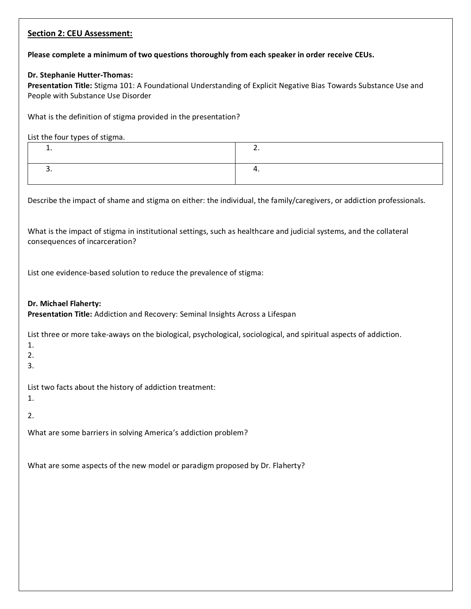## **Section 2: CEU Assessment: Please complete a minimum of two questions thoroughly from each speaker in order receive CEUs. Dr. Stephanie Hutter-Thomas: Presentation Title:** Stigma 101: A Foundational Understanding of Explicit Negative Bias Towards Substance Use and People with Substance Use Disorder What is the definition of stigma provided in the presentation? List the four types of stigma. 1.  $\qquad \qquad$  2.  $3.$  4. Describe the impact of shame and stigma on either: the individual, the family/caregivers, or addiction professionals. What is the impact of stigma in institutional settings, such as healthcare and judicial systems, and the collateral consequences of incarceration? List one evidence-based solution to reduce the prevalence of stigma: **Dr. Michael Flaherty: Presentation Title:** Addiction and Recovery: Seminal Insights Across a Lifespan List three or more take-aways on the biological, psychological, sociological, and spiritual aspects of addiction. 1. 2. 3. List two facts about the history of addiction treatment: 1. 2. What are some barriers in solving America's addiction problem? What are some aspects of the new model or paradigm proposed by Dr. Flaherty?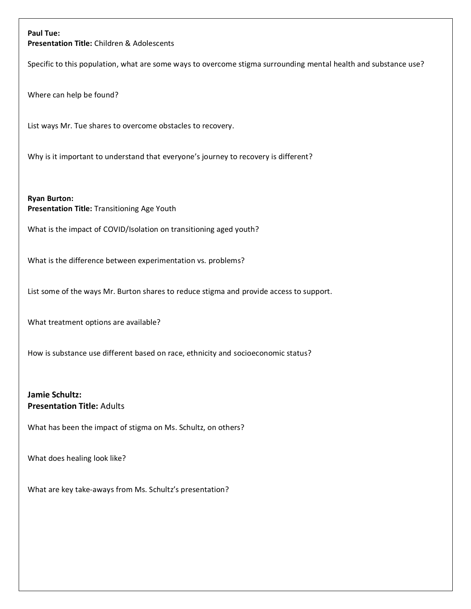## **Paul Tue:**

**Presentation Title:** Children & Adolescents

Specific to this population, what are some ways to overcome stigma surrounding mental health and substance use?

Where can help be found?

List ways Mr. Tue shares to overcome obstacles to recovery.

Why is it important to understand that everyone's journey to recovery is different?

**Ryan Burton: Presentation Title:** Transitioning Age Youth

What is the impact of COVID/Isolation on transitioning aged youth?

What is the difference between experimentation vs. problems?

List some of the ways Mr. Burton shares to reduce stigma and provide access to support.

What treatment options are available?

How is substance use different based on race, ethnicity and socioeconomic status?

**Jamie Schultz: Presentation Title:** Adults

What has been the impact of stigma on Ms. Schultz, on others?

What does healing look like?

What are key take-aways from Ms. Schultz's presentation?